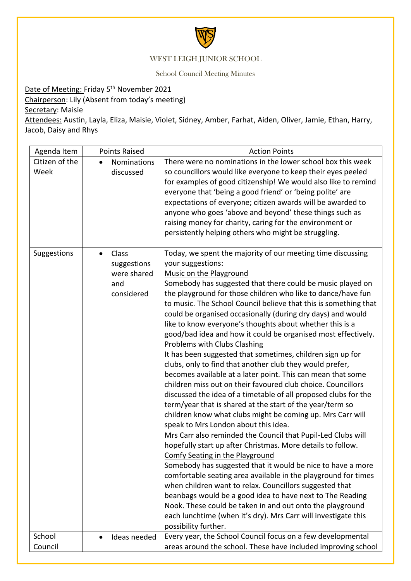

## WEST LEIGH JUNIOR SCHOOL

School Council Meeting Minutes

Date of Meeting: Friday 5<sup>th</sup> November 2021

Chairperson: Lily (Absent from today's meeting)

Secretary: Maisie

Attendees: Austin, Layla, Eliza, Maisie, Violet, Sidney, Amber, Farhat, Aiden, Oliver, Jamie, Ethan, Harry, Jacob, Daisy and Rhys

| Agenda Item            | <b>Points Raised</b>                                     | <b>Action Points</b>                                                                                                                                                                                                                                                                                                                                                                                                                                                                                                                                                                                                                                                                                                                                                                                                                                                                                                                                                                                                                                                                                                                                                                                                                                                                                                                                                                                                                                                                                                                                                                                                              |
|------------------------|----------------------------------------------------------|-----------------------------------------------------------------------------------------------------------------------------------------------------------------------------------------------------------------------------------------------------------------------------------------------------------------------------------------------------------------------------------------------------------------------------------------------------------------------------------------------------------------------------------------------------------------------------------------------------------------------------------------------------------------------------------------------------------------------------------------------------------------------------------------------------------------------------------------------------------------------------------------------------------------------------------------------------------------------------------------------------------------------------------------------------------------------------------------------------------------------------------------------------------------------------------------------------------------------------------------------------------------------------------------------------------------------------------------------------------------------------------------------------------------------------------------------------------------------------------------------------------------------------------------------------------------------------------------------------------------------------------|
| Citizen of the<br>Week | Nominations<br>discussed                                 | There were no nominations in the lower school box this week<br>so councillors would like everyone to keep their eyes peeled<br>for examples of good citizenship! We would also like to remind<br>everyone that 'being a good friend' or 'being polite' are<br>expectations of everyone; citizen awards will be awarded to<br>anyone who goes 'above and beyond' these things such as<br>raising money for charity, caring for the environment or<br>persistently helping others who might be struggling.                                                                                                                                                                                                                                                                                                                                                                                                                                                                                                                                                                                                                                                                                                                                                                                                                                                                                                                                                                                                                                                                                                                          |
| Suggestions            | Class<br>suggestions<br>were shared<br>and<br>considered | Today, we spent the majority of our meeting time discussing<br>your suggestions:<br>Music on the Playground<br>Somebody has suggested that there could be music played on<br>the playground for those children who like to dance/have fun<br>to music. The School Council believe that this is something that<br>could be organised occasionally (during dry days) and would<br>like to know everyone's thoughts about whether this is a<br>good/bad idea and how it could be organised most effectively.<br><b>Problems with Clubs Clashing</b><br>It has been suggested that sometimes, children sign up for<br>clubs, only to find that another club they would prefer,<br>becomes available at a later point. This can mean that some<br>children miss out on their favoured club choice. Councillors<br>discussed the idea of a timetable of all proposed clubs for the<br>term/year that is shared at the start of the year/term so<br>children know what clubs might be coming up. Mrs Carr will<br>speak to Mrs London about this idea.<br>Mrs Carr also reminded the Council that Pupil-Led Clubs will<br>hopefully start up after Christmas. More details to follow.<br>Comfy Seating in the Playground<br>Somebody has suggested that it would be nice to have a more<br>comfortable seating area available in the playground for times<br>when children want to relax. Councillors suggested that<br>beanbags would be a good idea to have next to The Reading<br>Nook. These could be taken in and out onto the playground<br>each lunchtime (when it's dry). Mrs Carr will investigate this<br>possibility further. |
| School                 | Ideas needed                                             | Every year, the School Council focus on a few developmental                                                                                                                                                                                                                                                                                                                                                                                                                                                                                                                                                                                                                                                                                                                                                                                                                                                                                                                                                                                                                                                                                                                                                                                                                                                                                                                                                                                                                                                                                                                                                                       |
| Council                |                                                          | areas around the school. These have included improving school                                                                                                                                                                                                                                                                                                                                                                                                                                                                                                                                                                                                                                                                                                                                                                                                                                                                                                                                                                                                                                                                                                                                                                                                                                                                                                                                                                                                                                                                                                                                                                     |